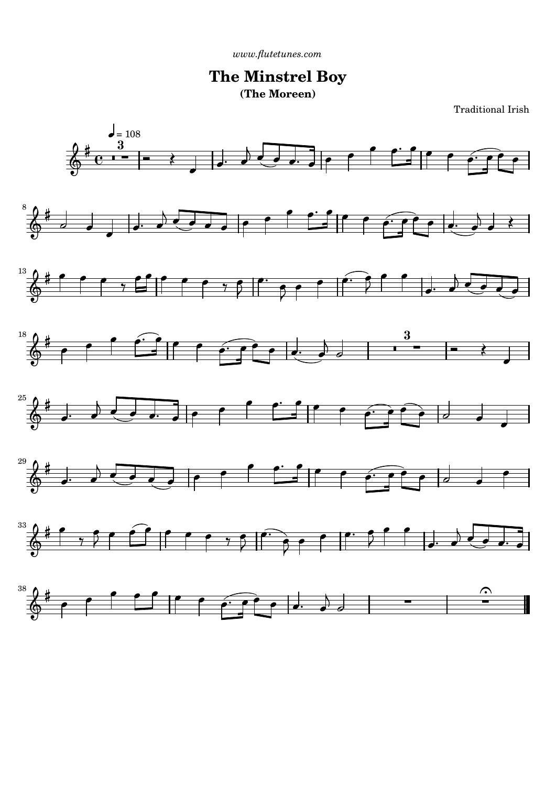*[www.flutetunes.com](http://www.flutetunes.com)* 

## **The Minstrel Boy (The Moreen)**

Traditional Irish

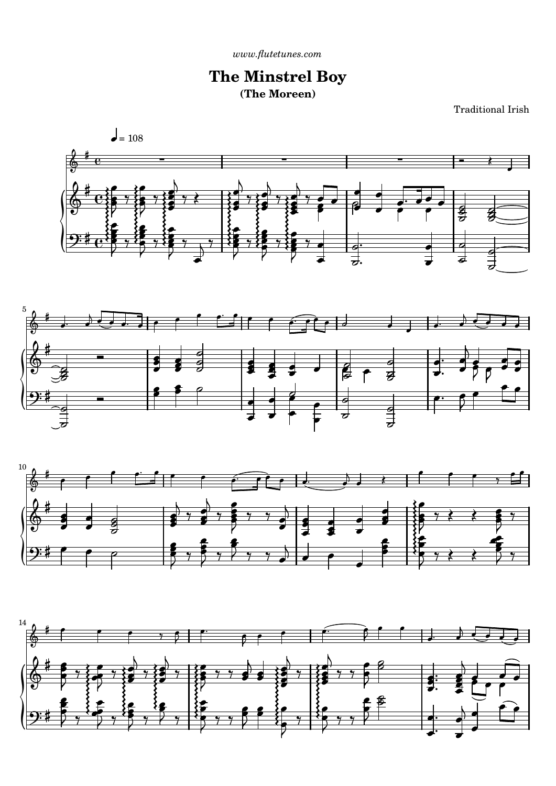$www. \emph{flutetunes.com}$ 

## **The Minstrel Boy** (The Moreen)

**Traditional Irish**